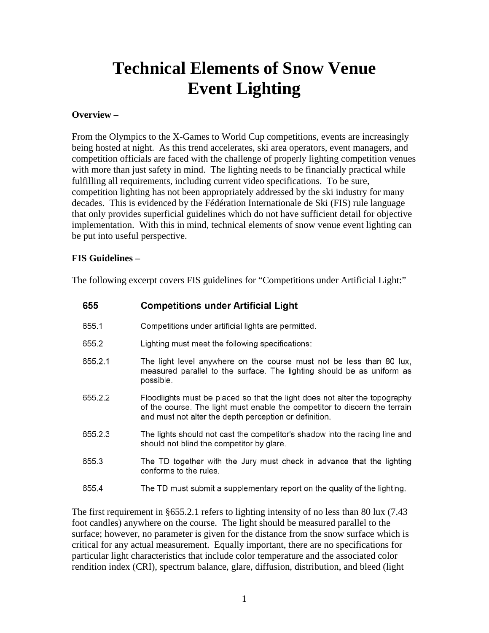# **Technical Elements of Snow Venue Event Lighting**

### **Overview –**

From the Olympics to the X-Games to World Cup competitions, events are increasingly being hosted at night. As this trend accelerates, ski area operators, event managers, and competition officials are faced with the challenge of properly lighting competition venues with more than just safety in mind. The lighting needs to be financially practical while fulfilling all requirements, including current video specifications. To be sure, competition lighting has not been appropriately addressed by the ski industry for many decades. This is evidenced by the Fédération Internationale de Ski (FIS) rule language that only provides superficial guidelines which do not have sufficient detail for objective implementation. With this in mind, technical elements of snow venue event lighting can be put into useful perspective.

## **FIS Guidelines –**

The following excerpt covers FIS guidelines for "Competitions under Artificial Light:"

| 655     | <b>Competitions under Artificial Light</b>                                                                                                                                                                         |
|---------|--------------------------------------------------------------------------------------------------------------------------------------------------------------------------------------------------------------------|
| 655.1   | Competitions under artificial lights are permitted.                                                                                                                                                                |
| 655.2   | Lighting must meet the following specifications:                                                                                                                                                                   |
| 655.2.1 | The light level anywhere on the course must not be less than 80 lux,<br>measured parallel to the surface. The lighting should be as uniform as<br>possible.                                                        |
| 655.2.2 | Floodlights must be placed so that the light does not alter the topography<br>of the course. The light must enable the competitor to discern the terrain<br>and must not alter the depth perception or definition. |
| 655.2.3 | The lights should not cast the competitor's shadow into the racing line and<br>should not blind the competitor by glare.                                                                                           |
| 655.3   | The TD together with the Jury must check in advance that the lighting<br>conforms to the rules.                                                                                                                    |
| 655.4   | The TD must submit a supplementary report on the quality of the lighting.                                                                                                                                          |

The first requirement in §655.2.1 refers to lighting intensity of no less than 80 lux (7.43) foot candles) anywhere on the course. The light should be measured parallel to the surface; however, no parameter is given for the distance from the snow surface which is critical for any actual measurement. Equally important, there are no specifications for particular light characteristics that include color temperature and the associated color rendition index (CRI), spectrum balance, glare, diffusion, distribution, and bleed (light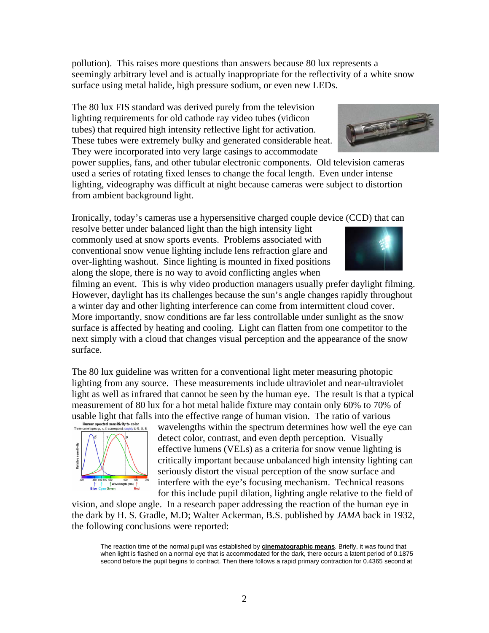power supplies, fans, and other tubular electronic components. Old television cameras used a series of rotating fixed lenses to change the focal length. Even under intense lighting, videography was difficult at night because cameras were subject to distortion

Ironically, today's cameras use a hypersensitive charged couple device (CCD) that can

pollution). This raises more questions than answers because 80 lux represents a

surface using metal halide, high pressure sodium, or even new LEDs.

The 80 lux FIS standard was derived purely from the television lighting requirements for old cathode ray video tubes (vidicon tubes) that required high intensity reflective light for activation. These tubes were extremely bulky and generated considerable heat. They were incorporated into very large casings to accommodate

seemingly arbitrary level and is actually inappropriate for the reflectivity of a white snow

resolve better under balanced light than the high intensity light commonly used at snow sports events. Problems associated with conventional snow venue lighting include lens refraction glare and over-lighting washout. Since lighting is mounted in fixed positions along the slope, there is no way to avoid conflicting angles when

filming an event. This is why video production managers usually prefer daylight filming. However, daylight has its challenges because the sun's angle changes rapidly throughout a winter day and other lighting interference can come from intermittent cloud cover. More importantly, snow conditions are far less controllable under sunlight as the snow surface is affected by heating and cooling. Light can flatten from one competitor to the next simply with a cloud that changes visual perception and the appearance of the snow surface.

The 80 lux guideline was written for a conventional light meter measuring photopic lighting from any source. These measurements include ultraviolet and near-ultraviolet light as well as infrared that cannot be seen by the human eye. The result is that a typical measurement of 80 lux for a hot metal halide fixture may contain only 60% to 70% of usable light that falls into the effective range of human vision. The ratio of various  $\frac{H_{\text{turn}}}{H_{\text{turn}} + H_{\text{low}} + H_{\text{low}} + H_{\text{low}} + H_{\text{low}} + H_{\text{low}} + H_{\text{low}} + H_{\text{low}} + H_{\text{low}} + H_{\text{low}} + H_{\text{low}} + H_{\text{low}} + H_{\text{low}} + H_{\text{low}} + H_{\text{low}} + H_{$ 

wavelengths within the spectrum determines how well the eye can detect color, contrast, and even depth perception. Visually effective lumens (VELs) as a criteria for snow venue lighting is critically important because unbalanced high intensity lighting can seriously distort the visual perception of the snow surface and interfere with the eye's focusing mechanism. Technical reasons for this include pupil dilation, lighting angle relative to the field of

vision, and slope angle. In a research paper addressing the reaction of the human eye in the dark by H. S. Gradle, M.D; Walter Ackerman, B.S. published by *JAMA* back in 1932, the following conclusions were reported:

The reaction time of the normal pupil was established by **cinematographic means**. Briefly, it was found that when light is flashed on a normal eye that is accommodated for the dark, there occurs a latent period of 0.1875 second before the pupil begins to contract. Then there follows a rapid primary contraction for 0.4365 second at





from ambient background light.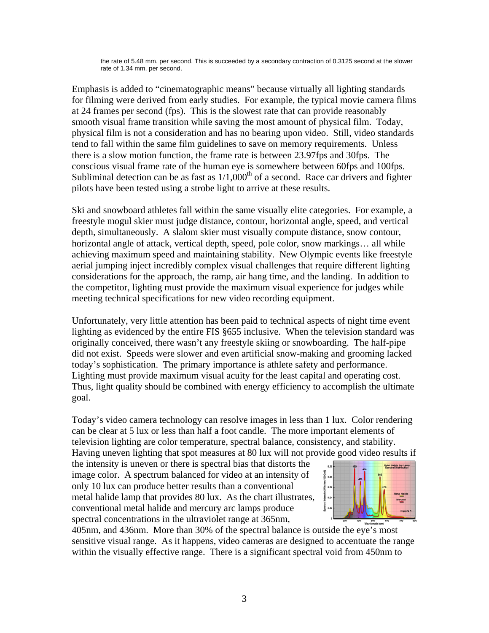the rate of 5.48 mm. per second. This is succeeded by a secondary contraction of 0.3125 second at the slower rate of 1.34 mm. per second.

Emphasis is added to "cinematographic means" because virtually all lighting standards for filming were derived from early studies. For example, the typical movie camera films at 24 frames per second (fps). This is the slowest rate that can provide reasonably smooth visual frame transition while saving the most amount of physical film. Today, physical film is not a consideration and has no bearing upon video. Still, video standards tend to fall within the same film guidelines to save on memory requirements. Unless there is a slow motion function, the frame rate is between 23.97fps and 30fps. The conscious visual frame rate of the human eye is somewhere between 60fps and 100fps. Subliminal detection can be as fast as  $1/1,000<sup>th</sup>$  of a second. Race car drivers and fighter pilots have been tested using a strobe light to arrive at these results.

Ski and snowboard athletes fall within the same visually elite categories. For example, a freestyle mogul skier must judge distance, contour, horizontal angle, speed, and vertical depth, simultaneously. A slalom skier must visually compute distance, snow contour, horizontal angle of attack, vertical depth, speed, pole color, snow markings... all while achieving maximum speed and maintaining stability. New Olympic events like freestyle aerial jumping inject incredibly complex visual challenges that require different lighting considerations for the approach, the ramp, air hang time, and the landing. In addition to the competitor, lighting must provide the maximum visual experience for judges while meeting technical specifications for new video recording equipment.

Unfortunately, very little attention has been paid to technical aspects of night time event lighting as evidenced by the entire FIS §655 inclusive. When the television standard was originally conceived, there wasn't any freestyle skiing or snowboarding. The half-pipe did not exist. Speeds were slower and even artificial snow-making and grooming lacked today's sophistication. The primary importance is athlete safety and performance. Lighting must provide maximum visual acuity for the least capital and operating cost. Thus, light quality should be combined with energy efficiency to accomplish the ultimate goal.

Today's video camera technology can resolve images in less than 1 lux. Color rendering can be clear at 5 lux or less than half a foot candle. The more important elements of television lighting are color temperature, spectral balance, consistency, and stability. Having uneven lighting that spot measures at 80 lux will not provide good video results if

the intensity is uneven or there is spectral bias that distorts the image color. A spectrum balanced for video at an intensity of only 10 lux can produce better results than a conventional metal halide lamp that provides 80 lux. As the chart illustrates, conventional metal halide and mercury arc lamps produce spectral concentrations in the ultraviolet range at 365nm,



405nm, and 436nm. More than 30% of the spectral balance is outside the eye's most sensitive visual range. As it happens, video cameras are designed to accentuate the range within the visually effective range. There is a significant spectral void from 450nm to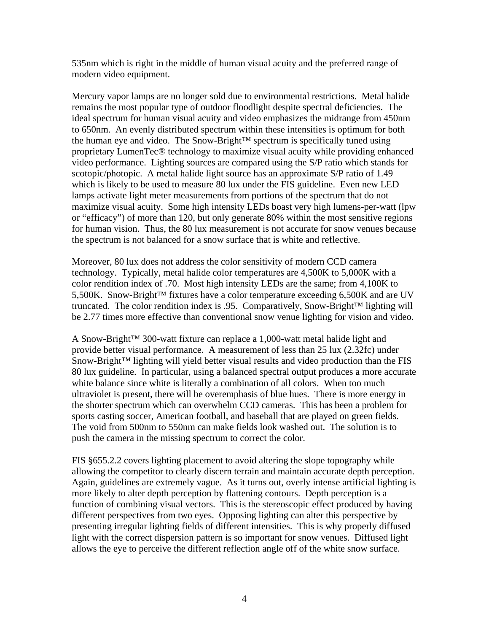535nm which is right in the middle of human visual acuity and the preferred range of modern video equipment.

Mercury vapor lamps are no longer sold due to environmental restrictions. Metal halide remains the most popular type of outdoor floodlight despite spectral deficiencies. The ideal spectrum for human visual acuity and video emphasizes the midrange from 450nm to 650nm. An evenly distributed spectrum within these intensities is optimum for both the human eye and video. The Snow-Bright™ spectrum is specifically tuned using proprietary LumenTec® technology to maximize visual acuity while providing enhanced video performance. Lighting sources are compared using the S/P ratio which stands for scotopic/photopic. A metal halide light source has an approximate S/P ratio of 1.49 which is likely to be used to measure 80 lux under the FIS guideline. Even new LED lamps activate light meter measurements from portions of the spectrum that do not maximize visual acuity. Some high intensity LEDs boast very high lumens-per-watt (lpw or "efficacy") of more than 120, but only generate 80% within the most sensitive regions for human vision. Thus, the 80 lux measurement is not accurate for snow venues because the spectrum is not balanced for a snow surface that is white and reflective.

Moreover, 80 lux does not address the color sensitivity of modern CCD camera technology. Typically, metal halide color temperatures are 4,500K to 5,000K with a color rendition index of .70. Most high intensity LEDs are the same; from 4,100K to 5,500K. Snow-Bright<sup>™</sup> fixtures have a color temperature exceeding 6,500K and are UV truncated. The color rendition index is .95. Comparatively, Snow-Bright™ lighting will be 2.77 times more effective than conventional snow venue lighting for vision and video.

A Snow-Bright™ 300-watt fixture can replace a 1,000-watt metal halide light and provide better visual performance. A measurement of less than 25 lux (2.32fc) under Snow-Bright™ lighting will yield better visual results and video production than the FIS 80 lux guideline. In particular, using a balanced spectral output produces a more accurate white balance since white is literally a combination of all colors. When too much ultraviolet is present, there will be overemphasis of blue hues. There is more energy in the shorter spectrum which can overwhelm CCD cameras. This has been a problem for sports casting soccer, American football, and baseball that are played on green fields. The void from 500nm to 550nm can make fields look washed out. The solution is to push the camera in the missing spectrum to correct the color.

FIS §655.2.2 covers lighting placement to avoid altering the slope topography while allowing the competitor to clearly discern terrain and maintain accurate depth perception. Again, guidelines are extremely vague. As it turns out, overly intense artificial lighting is more likely to alter depth perception by flattening contours. Depth perception is a function of combining visual vectors. This is the stereoscopic effect produced by having different perspectives from two eyes. Opposing lighting can alter this perspective by presenting irregular lighting fields of different intensities. This is why properly diffused light with the correct dispersion pattern is so important for snow venues. Diffused light allows the eye to perceive the different reflection angle off of the white snow surface.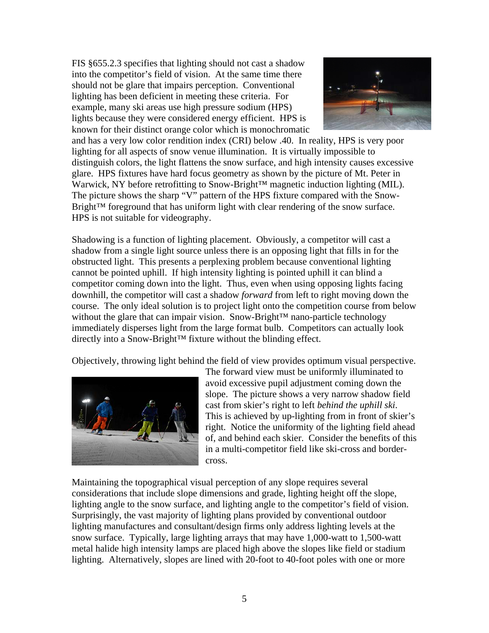FIS §655.2.3 specifies that lighting should not cast a shadow into the competitor's field of vision. At the same time there should not be glare that impairs perception. Conventional lighting has been deficient in meeting these criteria. For example, many ski areas use high pressure sodium (HPS) lights because they were considered energy efficient. HPS is known for their distinct orange color which is monochromatic



and has a very low color rendition index (CRI) below .40. In reality, HPS is very poor lighting for all aspects of snow venue illumination. It is virtually impossible to distinguish colors, the light flattens the snow surface, and high intensity causes excessive glare. HPS fixtures have hard focus geometry as shown by the picture of Mt. Peter in Warwick, NY before retrofitting to Snow-Bright™ magnetic induction lighting (MIL). The picture shows the sharp "V" pattern of the HPS fixture compared with the Snow-Bright™ foreground that has uniform light with clear rendering of the snow surface. HPS is not suitable for videography.

Shadowing is a function of lighting placement. Obviously, a competitor will cast a shadow from a single light source unless there is an opposing light that fills in for the obstructed light. This presents a perplexing problem because conventional lighting cannot be pointed uphill. If high intensity lighting is pointed uphill it can blind a competitor coming down into the light. Thus, even when using opposing lights facing downhill, the competitor will cast a shadow *forward* from left to right moving down the course. The only ideal solution is to project light onto the competition course from below without the glare that can impair vision. Snow-Bright™ nano-particle technology immediately disperses light from the large format bulb. Competitors can actually look directly into a Snow-Bright™ fixture without the blinding effect.

Objectively, throwing light behind the field of view provides optimum visual perspective.



The forward view must be uniformly illuminated to avoid excessive pupil adjustment coming down the slope. The picture shows a very narrow shadow field cast from skier's right to left *behind the uphill ski*. This is achieved by up-lighting from in front of skier's right. Notice the uniformity of the lighting field ahead of, and behind each skier. Consider the benefits of this in a multi-competitor field like ski-cross and bordercross.

Maintaining the topographical visual perception of any slope requires several considerations that include slope dimensions and grade, lighting height off the slope, lighting angle to the snow surface, and lighting angle to the competitor's field of vision. Surprisingly, the vast majority of lighting plans provided by conventional outdoor lighting manufactures and consultant/design firms only address lighting levels at the snow surface. Typically, large lighting arrays that may have 1,000-watt to 1,500-watt metal halide high intensity lamps are placed high above the slopes like field or stadium lighting. Alternatively, slopes are lined with 20-foot to 40-foot poles with one or more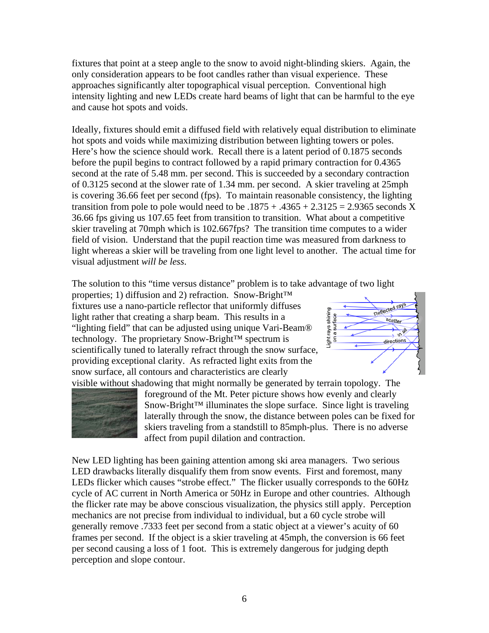fixtures that point at a steep angle to the snow to avoid night-blinding skiers. Again, the only consideration appears to be foot candles rather than visual experience. These approaches significantly alter topographical visual perception. Conventional high intensity lighting and new LEDs create hard beams of light that can be harmful to the eye and cause hot spots and voids.

Ideally, fixtures should emit a diffused field with relatively equal distribution to eliminate hot spots and voids while maximizing distribution between lighting towers or poles. Here's how the science should work. Recall there is a latent period of 0.1875 seconds before the pupil begins to contract followed by a rapid primary contraction for 0.4365 second at the rate of 5.48 mm. per second. This is succeeded by a secondary contraction of 0.3125 second at the slower rate of 1.34 mm. per second. A skier traveling at 25mph is covering 36.66 feet per second (fps). To maintain reasonable consistency, the lighting transition from pole to pole would need to be  $.1875 + .4365 + 2.3125 = 2.9365$  seconds X 36.66 fps giving us 107.65 feet from transition to transition. What about a competitive skier traveling at 70mph which is 102.667fps? The transition time computes to a wider field of vision. Understand that the pupil reaction time was measured from darkness to light whereas a skier will be traveling from one light level to another. The actual time for visual adjustment *will be less*.

The solution to this "time versus distance" problem is to take advantage of two light

properties; 1) diffusion and 2) refraction. Snow-Bright™ fixtures use a nano-particle reflector that uniformly diffuses light rather that creating a sharp beam. This results in a "lighting field" that can be adjusted using unique Vari-Beam® technology. The proprietary Snow-Bright™ spectrum is scientifically tuned to laterally refract through the snow surface, providing exceptional clarity. As refracted light exits from the snow surface, all contours and characteristics are clearly visible without shadowing that might normally be generated by terrain topology. The





foreground of the Mt. Peter picture shows how evenly and clearly Snow-Bright™ illuminates the slope surface. Since light is traveling laterally through the snow, the distance between poles can be fixed for skiers traveling from a standstill to 85mph-plus. There is no adverse affect from pupil dilation and contraction.

New LED lighting has been gaining attention among ski area managers. Two serious LED drawbacks literally disqualify them from snow events. First and foremost, many LEDs flicker which causes "strobe effect." The flicker usually corresponds to the 60Hz cycle of AC current in North America or 50Hz in Europe and other countries. Although the flicker rate may be above conscious visualization, the physics still apply. Perception mechanics are not precise from individual to individual, but a 60 cycle strobe will generally remove .7333 feet per second from a static object at a viewer's acuity of 60 frames per second. If the object is a skier traveling at 45mph, the conversion is 66 feet per second causing a loss of 1 foot. This is extremely dangerous for judging depth perception and slope contour.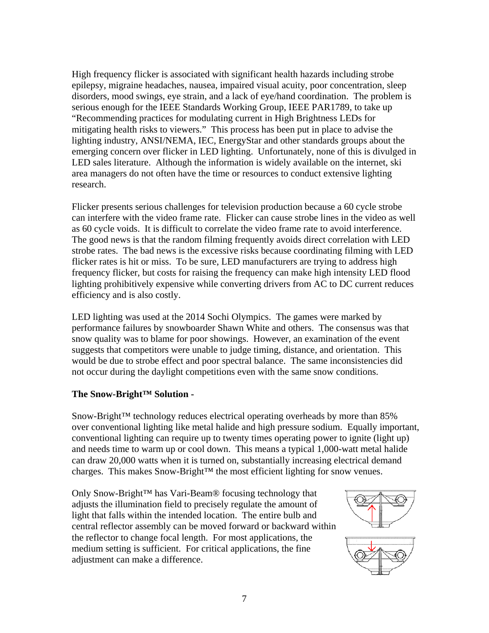High frequency flicker is associated with significant health hazards including strobe epilepsy, migraine headaches, nausea, impaired visual acuity, poor concentration, sleep disorders, mood swings, eye strain, and a lack of eye/hand coordination. The problem is serious enough for the IEEE Standards Working Group, IEEE PAR1789, to take up "Recommending practices for modulating current in High Brightness LEDs for mitigating health risks to viewers." This process has been put in place to advise the lighting industry, ANSI/NEMA, IEC, EnergyStar and other standards groups about the emerging concern over flicker in LED lighting. Unfortunately, none of this is divulged in LED sales literature. Although the information is widely available on the internet, ski area managers do not often have the time or resources to conduct extensive lighting research.

Flicker presents serious challenges for television production because a 60 cycle strobe can interfere with the video frame rate. Flicker can cause strobe lines in the video as well as 60 cycle voids. It is difficult to correlate the video frame rate to avoid interference. The good news is that the random filming frequently avoids direct correlation with LED strobe rates. The bad news is the excessive risks because coordinating filming with LED flicker rates is hit or miss. To be sure, LED manufacturers are trying to address high frequency flicker, but costs for raising the frequency can make high intensity LED flood lighting prohibitively expensive while converting drivers from AC to DC current reduces efficiency and is also costly.

LED lighting was used at the 2014 Sochi Olympics. The games were marked by performance failures by snowboarder Shawn White and others. The consensus was that snow quality was to blame for poor showings. However, an examination of the event suggests that competitors were unable to judge timing, distance, and orientation. This would be due to strobe effect and poor spectral balance. The same inconsistencies did not occur during the daylight competitions even with the same snow conditions.

## **The Snow-Bright™ Solution -**

Snow-Bright™ technology reduces electrical operating overheads by more than 85% over conventional lighting like metal halide and high pressure sodium. Equally important, conventional lighting can require up to twenty times operating power to ignite (light up) and needs time to warm up or cool down. This means a typical 1,000-watt metal halide can draw 20,000 watts when it is turned on, substantially increasing electrical demand charges. This makes Snow-Bright™ the most efficient lighting for snow venues.

Only Snow-Bright™ has Vari-Beam® focusing technology that adjusts the illumination field to precisely regulate the amount of light that falls within the intended location. The entire bulb and central reflector assembly can be moved forward or backward within the reflector to change focal length. For most applications, the medium setting is sufficient. For critical applications, the fine adjustment can make a difference.